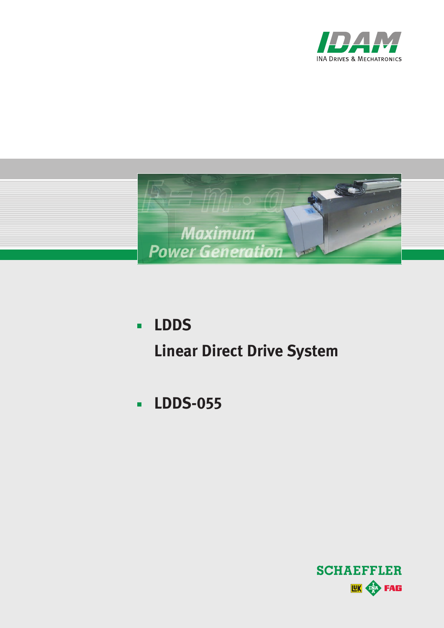



- **LDDS**  $\blacksquare$ **Linear Direct Drive System**
- **LDDS-055** $\blacksquare$

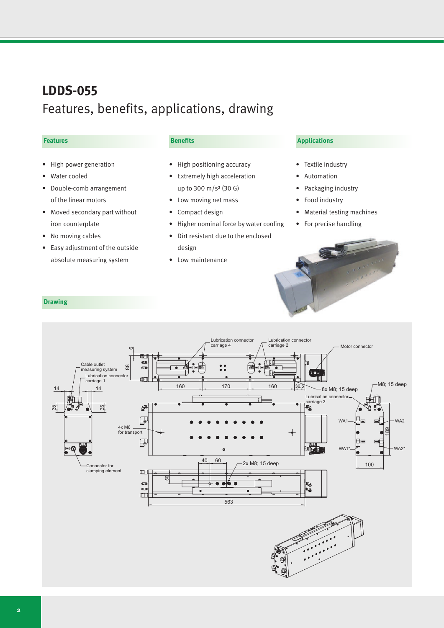# **LDDS-055** Features, benefits, applications, drawing

#### **Features**

- • High power generation
- • Water cooled
- • Double-comb arrangement of the linear motors
- Moved secondary part without iron counterplate
- No moving cables
- • Easy adjustment of the outside absolute measuring system

#### **Benefits**

- • High positioning accuracy
- • Extremely high acceleration up to 300 m/s² (30 G)
- Low moving net mass
- • Compact design
- • Higher nominal force by water cooling
- • Dirt resistant due to the enclosed design
- Low maintenance

## **Applications**

- Textile industry
- **Automation**
- Packaging industry
- Food industry
- **Material testing machines**
- For precise handling

# **Drawing**

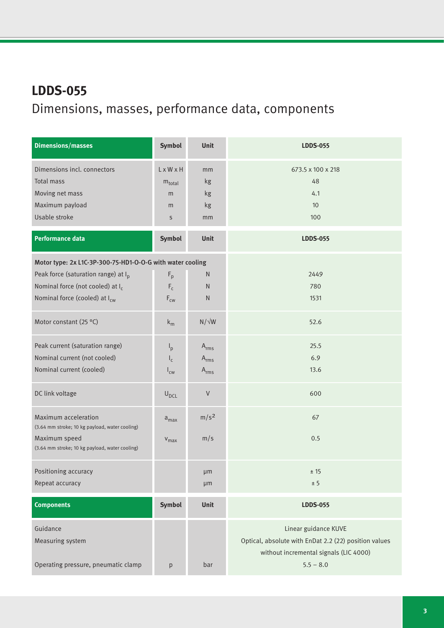# **LDDS-055** Dimensions, masses, performance data, components

| <b>Dimensions/masses</b>                                               | <b>Symbol</b>                  | <b>Unit</b>      | <b>LDDS-055</b>                                                                                 |
|------------------------------------------------------------------------|--------------------------------|------------------|-------------------------------------------------------------------------------------------------|
| Dimensions incl. connectors                                            | LxWxH                          | mm               | 673.5 x 100 x 218                                                                               |
| <b>Total mass</b>                                                      | $m_{\text{total}}$             | kg               | 48                                                                                              |
| Moving net mass                                                        | m                              | kg               | 4.1                                                                                             |
| Maximum payload                                                        | m                              | kg               | 10                                                                                              |
| Usable stroke                                                          | $\sf S$                        | mm               | 100                                                                                             |
| <b>Performance data</b>                                                | Symbol                         | Unit             | <b>LDDS-055</b>                                                                                 |
| Motor type: 2x L1C-3P-300-75-HD1-O-O-G with water cooling              |                                |                  |                                                                                                 |
| Peak force (saturation range) at I <sub>p</sub>                        | $F_p$                          | $\mathsf{N}$     | 2449                                                                                            |
| Nominal force (not cooled) at I <sub>c</sub>                           | $\mathsf{F}_{\mathsf{c}}$      | N.               | 780                                                                                             |
| Nominal force (cooled) at I <sub>cw</sub>                              | $\mathsf{F}_{\text{\tiny CW}}$ | ${\sf N}$        | 1531                                                                                            |
| Motor constant (25 °C)                                                 | $k_m$                          | $N/\sqrt{W}$     | 52.6                                                                                            |
| Peak current (saturation range)                                        | $I_p$                          | $A_{rms}$        | 25.5                                                                                            |
| Nominal current (not cooled)                                           | $I_c$                          | $A_{rms}$        | 6.9                                                                                             |
| Nominal current (cooled)                                               | $I_{\text{cw}}$                | $A_{rms}$        | 13.6                                                                                            |
| DC link voltage                                                        | $U_{DCL}$                      | $\vee$           | 600                                                                                             |
| Maximum acceleration<br>(3.64 mm stroke; 10 kg payload, water cooling) | $a_{max}$                      | m/s <sup>2</sup> | 67                                                                                              |
| Maximum speed<br>(3.64 mm stroke; 10 kg payload, water cooling)        | $V_{max}$                      | m/s              | 0.5                                                                                             |
| Positioning accuracy                                                   |                                | μm               | ± 15                                                                                            |
| Repeat accuracy                                                        |                                | µm               | ± 5                                                                                             |
| <b>Components</b>                                                      | Symbol                         | Unit             | <b>LDDS-055</b>                                                                                 |
| Guidance                                                               |                                |                  | Linear guidance KUVE                                                                            |
| Measuring system                                                       |                                |                  | Optical, absolute with EnDat 2.2 (22) position values<br>without incremental signals (LIC 4000) |
| Operating pressure, pneumatic clamp                                    |                                |                  |                                                                                                 |